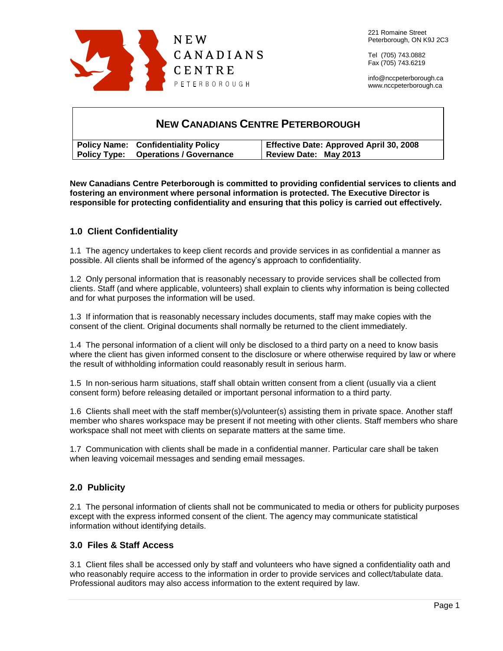

Tel (705) 743.0882 Fax (705) 743.6219

info@nccpeterborough.ca www.nccpeterborough.ca

# **NEW CANADIANS CENTRE PETERBOROUGH Policy Name: Confidentiality Policy Policy Type: Operations / Governance Effective Date: Approved April 30, 2008 Review Date: May 2013**

**New Canadians Centre Peterborough is committed to providing confidential services to clients and fostering an environment where personal information is protected. The Executive Director is responsible for protecting confidentiality and ensuring that this policy is carried out effectively.**

# **1.0 Client Confidentiality**

1.1 The agency undertakes to keep client records and provide services in as confidential a manner as possible. All clients shall be informed of the agency's approach to confidentiality.

1.2 Only personal information that is reasonably necessary to provide services shall be collected from clients. Staff (and where applicable, volunteers) shall explain to clients why information is being collected and for what purposes the information will be used.

1.3 If information that is reasonably necessary includes documents, staff may make copies with the consent of the client. Original documents shall normally be returned to the client immediately.

1.4 The personal information of a client will only be disclosed to a third party on a need to know basis where the client has given informed consent to the disclosure or where otherwise required by law or where the result of withholding information could reasonably result in serious harm.

1.5 In non-serious harm situations, staff shall obtain written consent from a client (usually via a client consent form) before releasing detailed or important personal information to a third party.

1.6 Clients shall meet with the staff member(s)/volunteer(s) assisting them in private space. Another staff member who shares workspace may be present if not meeting with other clients. Staff members who share workspace shall not meet with clients on separate matters at the same time.

1.7 Communication with clients shall be made in a confidential manner. Particular care shall be taken when leaving voicemail messages and sending email messages.

# **2.0 Publicity**

2.1 The personal information of clients shall not be communicated to media or others for publicity purposes except with the express informed consent of the client. The agency may communicate statistical information without identifying details.

### **3.0 Files & Staff Access**

3.1 Client files shall be accessed only by staff and volunteers who have signed a confidentiality oath and who reasonably require access to the information in order to provide services and collect/tabulate data. Professional auditors may also access information to the extent required by law.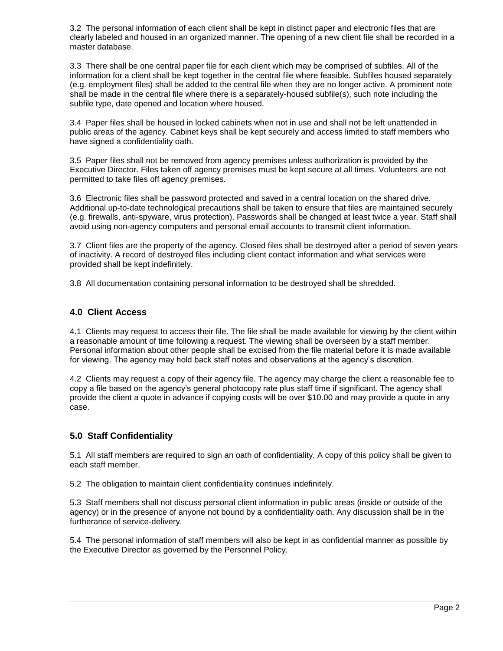3.2 The personal information of each client shall be kept in distinct paper and electronic files that are clearly labeled and housed in an organized manner. The opening of a new client file shall be recorded in a master database.

3.3 There shall be one central paper file for each client which may be comprised of subfiles. All of the information for a client shall be kept together in the central file where feasible. Subfiles housed separately (e.g. employment files) shall be added to the central file when they are no longer active. A prominent note shall be made in the central file where there is a separately-housed subfile(s), such note including the subfile type, date opened and location where housed.

3.4 Paper files shall be housed in locked cabinets when not in use and shall not be left unattended in public areas of the agency. Cabinet keys shall be kept securely and access limited to staff members who have signed a confidentiality oath.

3.5 Paper files shall not be removed from agency premises unless authorization is provided by the Executive Director. Files taken off agency premises must be kept secure at all times. Volunteers are not permitted to take files off agency premises.

3.6 Electronic files shall be password protected and saved in a central location on the shared drive. Additional up-to-date technological precautions shall be taken to ensure that files are maintained securely (e.g. firewalls, anti-spyware, virus protection). Passwords shall be changed at least twice a year. Staff shall avoid using non-agency computers and personal email accounts to transmit client information.

3.7 Client files are the property of the agency. Closed files shall be destroyed after a period of seven years of inactivity. A record of destroyed files including client contact information and what services were provided shall be kept indefinitely.

3.8 All documentation containing personal information to be destroyed shall be shredded.

## **4.0 Client Access**

4.1 Clients may request to access their file. The file shall be made available for viewing by the client within a reasonable amount of time following a request. The viewing shall be overseen by a staff member. Personal information about other people shall be excised from the file material before it is made available for viewing. The agency may hold back staff notes and observations at the agency's discretion.

4.2 Clients may request a copy of their agency file. The agency may charge the client a reasonable fee to copy a file based on the agency's general photocopy rate plus staff time if significant. The agency shall provide the client a quote in advance if copying costs will be over \$10.00 and may provide a quote in any case.

# **5.0 Staff Confidentiality**

5.1 All staff members are required to sign an oath of confidentiality. A copy of this policy shall be given to each staff member.

5.2 The obligation to maintain client confidentiality continues indefinitely.

5.3 Staff members shall not discuss personal client information in public areas (inside or outside of the agency) or in the presence of anyone not bound by a confidentiality oath. Any discussion shall be in the furtherance of service-delivery.

5.4 The personal information of staff members will also be kept in as confidential manner as possible by the Executive Director as governed by the Personnel Policy.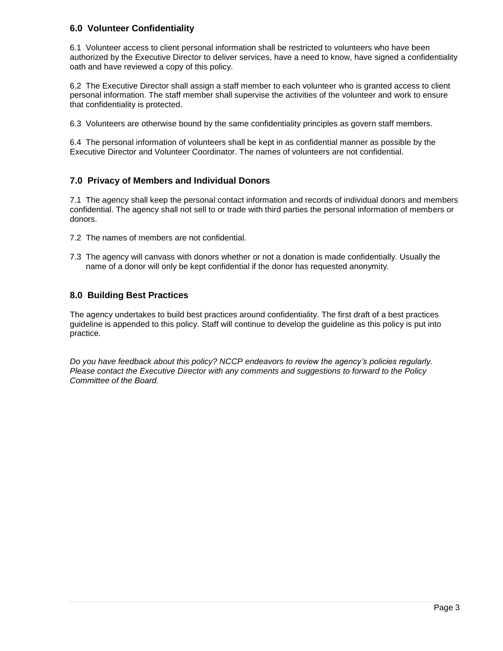## **6.0 Volunteer Confidentiality**

6.1 Volunteer access to client personal information shall be restricted to volunteers who have been authorized by the Executive Director to deliver services, have a need to know, have signed a confidentiality oath and have reviewed a copy of this policy.

6.2 The Executive Director shall assign a staff member to each volunteer who is granted access to client personal information. The staff member shall supervise the activities of the volunteer and work to ensure that confidentiality is protected.

6.3 Volunteers are otherwise bound by the same confidentiality principles as govern staff members.

6.4 The personal information of volunteers shall be kept in as confidential manner as possible by the Executive Director and Volunteer Coordinator. The names of volunteers are not confidential.

# **7.0 Privacy of Members and Individual Donors**

7.1 The agency shall keep the personal contact information and records of individual donors and members confidential. The agency shall not sell to or trade with third parties the personal information of members or donors.

- 7.2 The names of members are not confidential.
- 7.3 The agency will canvass with donors whether or not a donation is made confidentially. Usually the name of a donor will only be kept confidential if the donor has requested anonymity.

# **8.0 Building Best Practices**

The agency undertakes to build best practices around confidentiality. The first draft of a best practices guideline is appended to this policy. Staff will continue to develop the guideline as this policy is put into practice.

*Do you have feedback about this policy? NCCP endeavors to review the agency's policies regularly. Please contact the Executive Director with any comments and suggestions to forward to the Policy Committee of the Board.*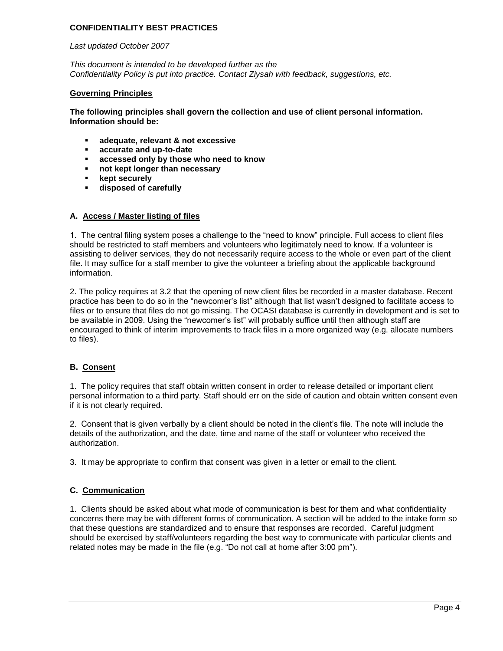### **CONFIDENTIALITY BEST PRACTICES**

#### *Last updated October 2007*

*This document is intended to be developed further as the Confidentiality Policy is put into practice. Contact Ziysah with feedback, suggestions, etc.*

#### **Governing Principles**

**The following principles shall govern the collection and use of client personal information. Information should be:**

- **adequate, relevant & not excessive**
- **accurate and up-to-date**
- **accessed only by those who need to know**
- **not kept longer than necessary**
- **kept securely**
- **disposed of carefully**

### **A. Access / Master listing of files**

1. The central filing system poses a challenge to the "need to know" principle. Full access to client files should be restricted to staff members and volunteers who legitimately need to know. If a volunteer is assisting to deliver services, they do not necessarily require access to the whole or even part of the client file. It may suffice for a staff member to give the volunteer a briefing about the applicable background information.

2. The policy requires at 3.2 that the opening of new client files be recorded in a master database. Recent practice has been to do so in the "newcomer's list" although that list wasn't designed to facilitate access to files or to ensure that files do not go missing. The OCASI database is currently in development and is set to be available in 2009. Using the "newcomer's list" will probably suffice until then although staff are encouraged to think of interim improvements to track files in a more organized way (e.g. allocate numbers to files).

### **B. Consent**

1. The policy requires that staff obtain written consent in order to release detailed or important client personal information to a third party. Staff should err on the side of caution and obtain written consent even if it is not clearly required.

2. Consent that is given verbally by a client should be noted in the client's file. The note will include the details of the authorization, and the date, time and name of the staff or volunteer who received the authorization.

3. It may be appropriate to confirm that consent was given in a letter or email to the client.

### **C. Communication**

1. Clients should be asked about what mode of communication is best for them and what confidentiality concerns there may be with different forms of communication. A section will be added to the intake form so that these questions are standardized and to ensure that responses are recorded. Careful judgment should be exercised by staff/volunteers regarding the best way to communicate with particular clients and related notes may be made in the file (e.g. "Do not call at home after 3:00 pm").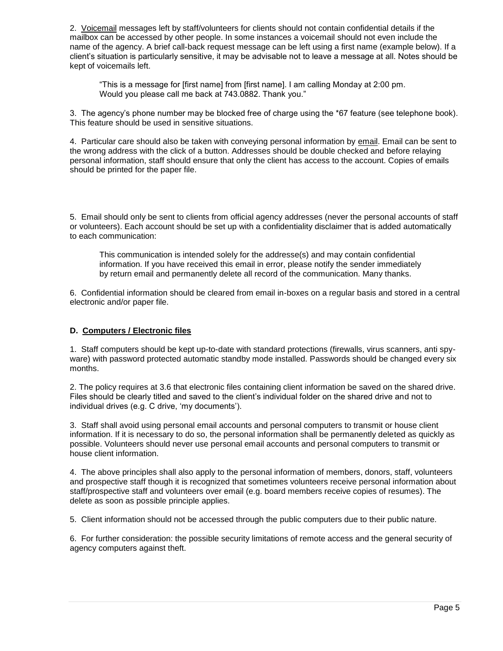2. Voicemail messages left by staff/volunteers for clients should not contain confidential details if the mailbox can be accessed by other people. In some instances a voicemail should not even include the name of the agency. A brief call-back request message can be left using a first name (example below). If a client's situation is particularly sensitive, it may be advisable not to leave a message at all. Notes should be kept of voicemails left.

"This is a message for [first name] from [first name]. I am calling Monday at 2:00 pm. Would you please call me back at 743.0882. Thank you."

3. The agency's phone number may be blocked free of charge using the \*67 feature (see telephone book). This feature should be used in sensitive situations.

4. Particular care should also be taken with conveying personal information by email. Email can be sent to the wrong address with the click of a button. Addresses should be double checked and before relaying personal information, staff should ensure that only the client has access to the account. Copies of emails should be printed for the paper file.

5. Email should only be sent to clients from official agency addresses (never the personal accounts of staff or volunteers). Each account should be set up with a confidentiality disclaimer that is added automatically to each communication:

This communication is intended solely for the addresse(s) and may contain confidential information. If you have received this email in error, please notify the sender immediately by return email and permanently delete all record of the communication. Many thanks.

6. Confidential information should be cleared from email in-boxes on a regular basis and stored in a central electronic and/or paper file.

### **D. Computers / Electronic files**

1. Staff computers should be kept up-to-date with standard protections (firewalls, virus scanners, anti spyware) with password protected automatic standby mode installed. Passwords should be changed every six months.

2. The policy requires at 3.6 that electronic files containing client information be saved on the shared drive. Files should be clearly titled and saved to the client's individual folder on the shared drive and not to individual drives (e.g. C drive, 'my documents').

3. Staff shall avoid using personal email accounts and personal computers to transmit or house client information. If it is necessary to do so, the personal information shall be permanently deleted as quickly as possible. Volunteers should never use personal email accounts and personal computers to transmit or house client information.

4. The above principles shall also apply to the personal information of members, donors, staff, volunteers and prospective staff though it is recognized that sometimes volunteers receive personal information about staff/prospective staff and volunteers over email (e.g. board members receive copies of resumes). The delete as soon as possible principle applies.

5. Client information should not be accessed through the public computers due to their public nature.

6. For further consideration: the possible security limitations of remote access and the general security of agency computers against theft.